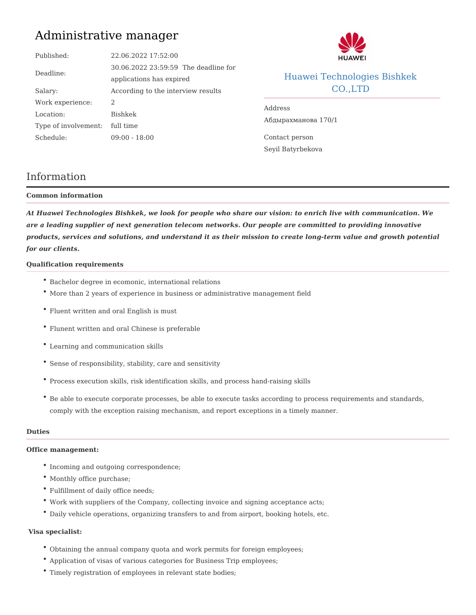# Administrative manager

| Published:                    | 22.06.2022 17:52:00                |                                    |                             |  |
|-------------------------------|------------------------------------|------------------------------------|-----------------------------|--|
| Deadline:                     | 30.06.2022 23:59 h5e9 deadline for |                                    |                             |  |
|                               | applications has expired           |                                    | Huawei Technologies Bishkek |  |
| Salary:                       | According to the interview results |                                    | $CO.$ , $LTD$               |  |
| Work experience:2             |                                    | Address<br>$14K@0E <0 => 20$ 170/1 |                             |  |
| Location:                     | Bishkek                            |                                    |                             |  |
| Type of involvem feunit: time |                                    |                                    |                             |  |
| Schedule:                     | $09:00 - 18:00$                    | Contact person                     |                             |  |
|                               |                                    | Sevil Batyrbekova                  |                             |  |

# Information

### Common information

At Huawei Technologies Bishkek, we look for people who share our vision: to enrich live with comr are a leading supplier of next generation telecom networks. Our people are committed to providing products, services and solutions, and understand it as their mission to create long-term value and for our clients.

## Qualification requirements

- Bachelor degree in ecomonic, international relations
- More than 2 years of experience in business or administrative management field
- Fluent written and oral English is must
- Flunent written and oral Chinese is preferable
- Learning and communication skills
- Sense of responsibility, stability, care and sensitivity
- Process execution skills, risk identification skills, and process hand-raising skills
- $\degree$  Be able to execute corporate processes, be able to execute tasks according to process requir comply with the exception raising mechanism, and report exceptions in a timely manner.

# Duties

Office management:

- \* Incoming and outgoing correspondence;
- Monthly office purchase;
- Fulfillment of daily office needs;
- Work with suppliers of the Company, collecting invoice and signing acceptance acts;
- Daily vehicle operations, organizing transfers to and from airport, booking hotels, etc.

### Visa specialist:

- Obtaining the annual company quota and work permits for foreign employees;
- Application of visas of various categories for Business Trip employees;
- Timely registration of employees in relevant state bodies;